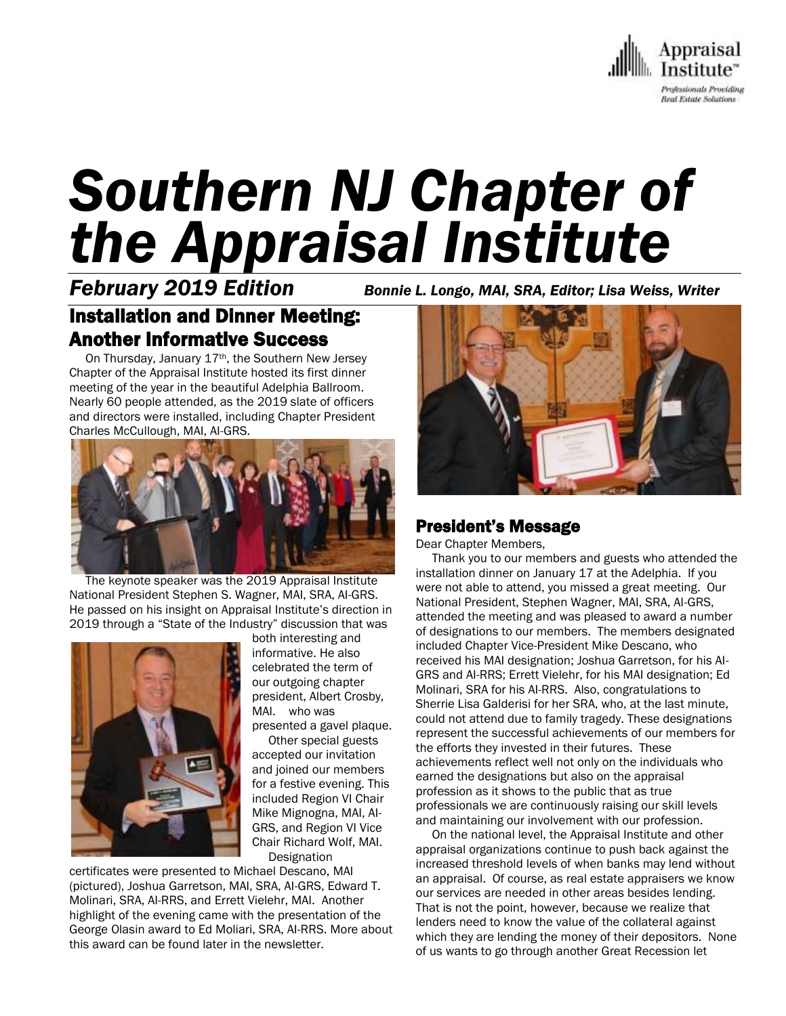

# *Southern NJ Chapter of the Appraisal Institute*

*February 2019 Edition Bonnie L. Longo, MAI, SRA, Editor; Lisa Weiss, Writer*

# Installation and Dinner Meeting: Another Informative Success

On Thursday, January 17<sup>th</sup>, the Southern New Jersey Chapter of the Appraisal Institute hosted its first dinner meeting of the year in the beautiful Adelphia Ballroom. Nearly 60 people attended, as the 2019 slate of officers and directors were installed, including Chapter President Charles McCullough, MAI, AI-GRS.



 The keynote speaker was the 2019 Appraisal Institute National President Stephen S. Wagner, MAI, SRA, AI-GRS. He passed on his insight on Appraisal Institute's direction in 2019 through a "State of the Industry" discussion that was



both interesting and informative. He also celebrated the term of our outgoing chapter president, Albert Crosby, MAI. who was presented a gavel plaque.

 Other special guests accepted our invitation and joined our members for a festive evening. This included Region VI Chair Mike Mignogna, MAI, AI-GRS, and Region VI Vice Chair Richard Wolf, MAI. **Designation** 

certificates were presented to Michael Descano, MAI (pictured), Joshua Garretson, MAI, SRA, AI-GRS, Edward T. Molinari, SRA, AI-RRS, and Errett Vielehr, MAI. Another highlight of the evening came with the presentation of the George Olasin award to Ed Moliari, SRA, AI-RRS. More about this award can be found later in the newsletter.



## President's Message

Dear Chapter Members,

 Thank you to our members and guests who attended the installation dinner on January 17 at the Adelphia. If you were not able to attend, you missed a great meeting. Our National President, Stephen Wagner, MAI, SRA, AI-GRS, attended the meeting and was pleased to award a number of designations to our members. The members designated included Chapter Vice-President Mike Descano, who received his MAI designation; Joshua Garretson, for his AI-GRS and AI-RRS; Errett Vielehr, for his MAI designation; Ed Molinari, SRA for his AI-RRS. Also, congratulations to Sherrie Lisa Galderisi for her SRA, who, at the last minute, could not attend due to family tragedy. These designations represent the successful achievements of our members for the efforts they invested in their futures. These achievements reflect well not only on the individuals who earned the designations but also on the appraisal profession as it shows to the public that as true professionals we are continuously raising our skill levels and maintaining our involvement with our profession.

 On the national level, the Appraisal Institute and other appraisal organizations continue to push back against the increased threshold levels of when banks may lend without an appraisal. Of course, as real estate appraisers we know our services are needed in other areas besides lending. That is not the point, however, because we realize that lenders need to know the value of the collateral against which they are lending the money of their depositors. None of us wants to go through another Great Recession let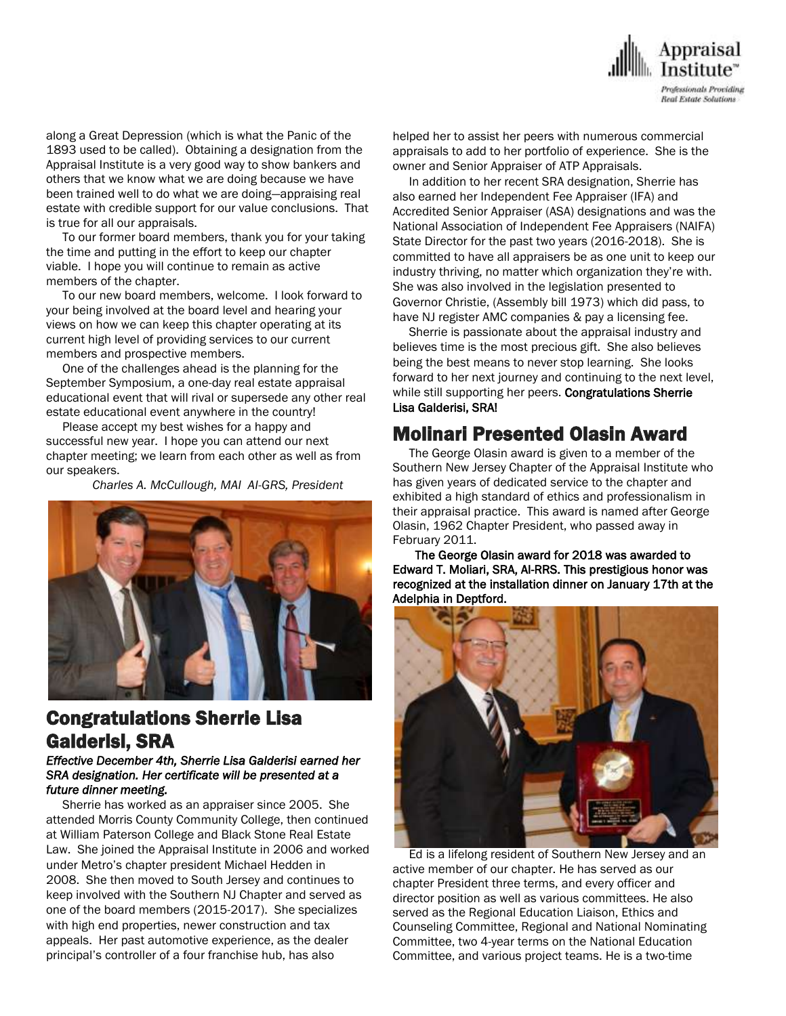

along a Great Depression (which is what the Panic of the 1893 used to be called). Obtaining a designation from the Appraisal Institute is a very good way to show bankers and others that we know what we are doing because we have been trained well to do what we are doing—appraising real estate with credible support for our value conclusions. That is true for all our appraisals.

 To our former board members, thank you for your taking the time and putting in the effort to keep our chapter viable. I hope you will continue to remain as active members of the chapter.

 To our new board members, welcome. I look forward to your being involved at the board level and hearing your views on how we can keep this chapter operating at its current high level of providing services to our current members and prospective members.

 One of the challenges ahead is the planning for the September Symposium, a one-day real estate appraisal educational event that will rival or supersede any other real estate educational event anywhere in the country!

 Please accept my best wishes for a happy and successful new year. I hope you can attend our next chapter meeting; we learn from each other as well as from our speakers.

*Charles A. McCullough, MAI AI-GRS, President*



## Congratulations Sherrie Lisa Galderisi, SRA

#### *Effective December 4th, Sherrie Lisa Galderisi earned her SRA designation. Her certificate will be presented at a future dinner meeting.*

 Sherrie has worked as an appraiser since 2005. She attended Morris County Community College, then continued at William Paterson College and Black Stone Real Estate Law. She joined the Appraisal Institute in 2006 and worked under Metro's chapter president Michael Hedden in 2008. She then moved to South Jersey and continues to keep involved with the Southern NJ Chapter and served as one of the board members (2015-2017). She specializes with high end properties, newer construction and tax appeals. Her past automotive experience, as the dealer principal's controller of a four franchise hub, has also

helped her to assist her peers with numerous commercial appraisals to add to her portfolio of experience. She is the owner and Senior Appraiser of ATP Appraisals.

 In addition to her recent SRA designation, Sherrie has also earned her Independent Fee Appraiser (IFA) and Accredited Senior Appraiser (ASA) designations and was the National Association of Independent Fee Appraisers (NAIFA) State Director for the past two years (2016-2018). She is committed to have all appraisers be as one unit to keep our industry thriving, no matter which organization they're with. She was also involved in the legislation presented to Governor Christie, (Assembly bill 1973) which did pass, to have NJ register AMC companies & pay a licensing fee.

 Sherrie is passionate about the appraisal industry and believes time is the most precious gift. She also believes being the best means to never stop learning. She looks forward to her next journey and continuing to the next level, while still supporting her peers. **Congratulations Sherrie** Lisa Galderisi, SRA!

## Molinari Presented Olasin Award

 The George Olasin award is given to a member of the Southern New Jersey Chapter of the Appraisal Institute who has given years of dedicated service to the chapter and exhibited a high standard of ethics and professionalism in their appraisal practice. This award is named after George Olasin, 1962 Chapter President, who passed away in February 2011.

 The George Olasin award for 2018 was awarded to Edward T. Moliari, SRA, AI-RRS. This prestigious honor was recognized at the installation dinner on January 17th at the Adelphia in Deptford.



 Ed is a lifelong resident of Southern New Jersey and an active member of our chapter. He has served as our chapter President three terms, and every officer and director position as well as various committees. He also served as the Regional Education Liaison, Ethics and Counseling Committee, Regional and National Nominating Committee, two 4-year terms on the National Education Committee, and various project teams. He is a two-time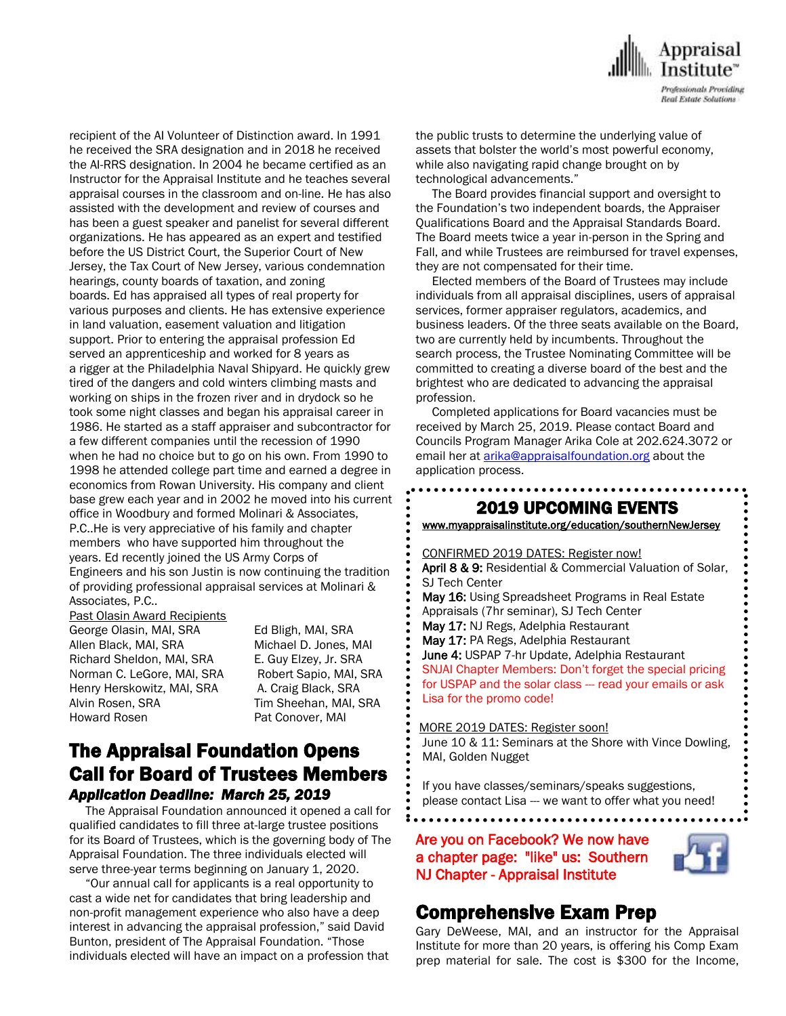

recipient of the AI Volunteer of Distinction award. In 1991 he received the SRA designation and in 2018 he received the AI-RRS designation. In 2004 he became certified as an Instructor for the Appraisal Institute and he teaches several appraisal courses in the classroom and on-line. He has also assisted with the development and review of courses and has been a guest speaker and panelist for several different organizations. He has appeared as an expert and testified before the US District Court, the Superior Court of New Jersey, the Tax Court of New Jersey, various condemnation hearings, county boards of taxation, and zoning boards. Ed has appraised all types of real property for various purposes and clients. He has extensive experience in land valuation, easement valuation and litigation support. Prior to entering the appraisal profession Ed served an apprenticeship and worked for 8 years as a rigger at the Philadelphia Naval Shipyard. He quickly grew tired of the dangers and cold winters climbing masts and working on ships in the frozen river and in drydock so he took some night classes and began his appraisal career in 1986. He started as a staff appraiser and subcontractor for a few different companies until the recession of 1990 when he had no choice but to go on his own. From 1990 to 1998 he attended college part time and earned a degree in economics from Rowan University. His company and client base grew each year and in 2002 he moved into his current office in Woodbury and formed Molinari & Associates, P.C..He is very appreciative of his family and chapter members who have supported him throughout the years. Ed recently joined the US Army Corps of Engineers and his son Justin is now continuing the tradition of providing professional appraisal services at Molinari & Associates, P.C..

Past Olasin Award Recipients

George Olasin, MAI, SRA Ed Bligh, MAI, SRA Allen Black, MAI, SRA Michael D. Jones, MAI Richard Sheldon, MAI, SRA E. Guy Elzey, Jr. SRA Norman C. LeGore, MAI, SRA Robert Sapio, MAI, SRA Henry Herskowitz, MAI, SRA A. Craig Black, SRA Alvin Rosen, SRA Tim Sheehan, MAI, SRA Howard Rosen Pat Conover, MAI

## The Appraisal Foundation Opens Call for Board of Trustees Members *Application Deadline: March 25, 2019*

 The Appraisal Foundation announced it opened a call for qualified candidates to fill three at-large trustee positions for its Board of Trustees, which is the governing body of The Appraisal Foundation. The three individuals elected will serve three-year terms beginning on January 1, 2020.

 "Our annual call for applicants is a real opportunity to cast a wide net for candidates that bring leadership and non-profit management experience who also have a deep interest in advancing the appraisal profession," said David Bunton, president of The Appraisal Foundation. "Those individuals elected will have an impact on a profession that the public trusts to determine the underlying value of assets that bolster the world's most powerful economy, while also navigating rapid change brought on by technological advancements."

 The Board provides financial support and oversight to the Foundation's two independent boards, the Appraiser Qualifications Board and the Appraisal Standards Board. The Board meets twice a year in-person in the Spring and Fall, and while Trustees are reimbursed for travel expenses, they are not compensated for their time.

 Elected members of the Board of Trustees may include individuals from all appraisal disciplines, users of appraisal services, former appraiser regulators, academics, and business leaders. Of the three seats available on the Board, two are currently held by incumbents. Throughout the search process, the Trustee Nominating Committee will be committed to creating a diverse board of the best and the brightest who are dedicated to advancing the appraisal profession.

 Completed applications for Board vacancies must be received by March 25, 2019. Please contact Board and Councils Program Manager Arika Cole at 202.624.3072 or email her at *arika@appraisalfoundation.org* about the application process.

 $\overline{\phantom{a}}$ 

## 2019 UPCOMING EVENTS

[www.myappraisalinstitute.org/education/southernNewJersey](http://www.myappraisalinstitute.org/education/southernNewJersey)

 CONFIRMED 2019 DATES: Register now! April 8 & 9: Residential & Commercial Valuation of Solar, SJ Tech Center May 16: Using Spreadsheet Programs in Real Estate Appraisals (7hr seminar), SJ Tech Center May 17: NJ Regs, Adelphia Restaurant May 17: PA Regs, Adelphia Restaurant June 4: USPAP 7-hr Update, Adelphia Restaurant SNJAI Chapter Members: Don't forget the special pricing for USPAP and the solar class --- read your emails or ask Lisa for the promo code!

#### MORE 2019 DATES: Register soon!

 $\overline{\phantom{0}}$ 

 June 10 & 11: Seminars at the Shore with Vince Dowling, MAI, Golden Nugget

 If you have classes/seminars/speaks suggestions, please contact Lisa --- we want to offer what you need!

Are you on Facebook? We now have a chapter page: "like" us: Southern NJ Chapter - Appraisal Institute



## Comprehensive Exam Prep

Gary DeWeese, MAI, and an instructor for the Appraisal Institute for more than 20 years, is offering his Comp Exam prep material for sale. The cost is \$300 for the Income,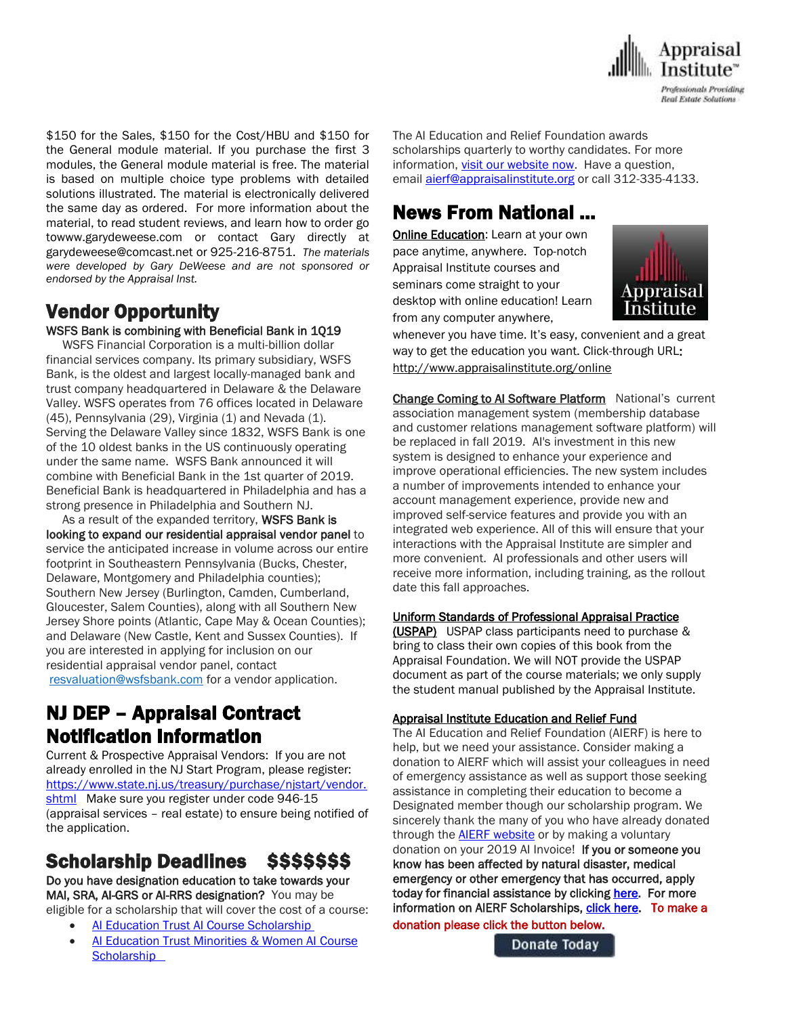

\$150 for the Sales, \$150 for the Cost/HBU and \$150 for the General module material. If you purchase the first 3 modules, the General module material is free. The material is based on multiple choice type problems with detailed solutions illustrated. The material is electronically delivered the same day as ordered. For more information about the material, to read student reviews, and learn how to order go towww.garydeweese.com or contact Gary directly at garydeweese@comcast.net or 925-216-8751. *The materials were developed by Gary DeWeese and are not sponsored or endorsed by the Appraisal Inst.*

# Vendor Opportunity

### WSFS Bank is combining with Beneficial Bank in 1Q19

 WSFS Financial Corporation is a multi-billion dollar financial services company. Its primary subsidiary, WSFS Bank, is the oldest and largest locally-managed bank and trust company headquartered in Delaware & the Delaware Valley. WSFS operates from 76 offices located in Delaware (45), Pennsylvania (29), Virginia (1) and Nevada (1). Serving the Delaware Valley since 1832, WSFS Bank is one of the 10 oldest banks in the US continuously operating under the same name. WSFS Bank announced it will combine with Beneficial Bank in the 1st quarter of 2019. Beneficial Bank is headquartered in Philadelphia and has a strong presence in Philadelphia and Southern NJ.

As a result of the expanded territory, WSFS Bank is looking to expand our residential appraisal vendor panel to service the anticipated increase in volume across our entire footprint in Southeastern Pennsylvania (Bucks, Chester, Delaware, Montgomery and Philadelphia counties); Southern New Jersey (Burlington, Camden, Cumberland, Gloucester, Salem Counties), along with all Southern New Jersey Shore points (Atlantic, Cape May & Ocean Counties); and Delaware (New Castle, Kent and Sussex Counties). If you are interested in applying for inclusion on our residential appraisal vendor panel, contact [resvaluation@wsfsbank.com](mailto:resvaluation@wsfsbank.com) for a vendor application.

## NJ DEP – Appraisal Contract Notification Information

Current & Prospective Appraisal Vendors: If you are not already enrolled in the NJ Start Program, please register: [https://www.state.nj.us/treasury/purchase/njstart/vendor.](https://www.state.nj.us/treasury/purchase/njstart/vendor.shtml) [shtml](https://www.state.nj.us/treasury/purchase/njstart/vendor.shtml) Make sure you register under code 946-15 (appraisal services – real estate) to ensure being notified of the application.

# Scholarship Deadlines \$\$\$\$\$\$\$

Do you have designation education to take towards your MAI, SRA, AI-GRS or AI-RRS designation? You may be eligible for a scholarship that will cover the cost of a course:

- [AI Education Trust AI Course Scholarship](http://send.appraisalinstitute.org/link.cfm?r=TyxXOooBFM-9kcaVyjABIA~~&pe=2LfVDLKkPw4a7iTJT6vFSRyUTGWvyKlgZVfaPxv8aeo3V7p4KW8PkzldlItyi6QjcBvOjG5kSbUVrCcwyOcfrw~~&t=tFW740karyB2Xp6B0vb37A~~)
- [AI Education Trust Minorities & Women AI](http://send.appraisalinstitute.org/link.cfm?r=TyxXOooBFM-9kcaVyjABIA~~&pe=buSm2u3XE0A-XOxJTNdDARx35OKrf9M7Cm1PFLBX8PcOseTGh-WmE1v1L86Qi2rC8D7CQupIRrnMkBAEYtTDfA~~&t=tFW740karyB2Xp6B0vb37A~~) Course **Scholarship**

The AI Education and Relief Foundation awards scholarships quarterly to worthy candidates. For more information, [visit our website now.](http://send.appraisalinstitute.org/link.cfm?r=TyxXOooBFM-9kcaVyjABIA~~&pe=04S6BV_WRjPuRE9iBWgyet4QJhEnA9MTgKpjEHqURLFVBaSWFotXIxmjohy8sFUtAAx-lEomdoDTtMmRRRRz6g~~&t=tFW740karyB2Xp6B0vb37A~~) Have a question, email **[aierf@appraisalinstitute.org](mailto:aierf@appraisalinstitute.org)** or call 312-335-4133.

## News From National …

**[Online Education:](http://www.mmsend50.com/ls.cfm?r=99596491&sid=8974475&m=957997&u=Appraise&s=http://www.appraisalinstitute.org/online) Learn at your own** pace anytime, anywhere. Top-notch Appraisal Institute courses and seminars come straight to your desktop with online education! Learn from any computer anywhere,



whenever you have time. It's easy, convenient and a great way to get the education you want. Click-through URL: [http://www.appraisalinstitute.org/online](http://www.mmsend50.com/ls.cfm?r=99596491&sid=8974477&m=957997&u=Appraise&s=http://www.appraisalinstitute.org/online)

Change Coming to AI Software Platform National's current association management system (membership database and customer relations management software platform) will be replaced in fall 2019. AI's investment in this new system is designed to enhance your experience and improve operational efficiencies. The new system includes a number of improvements intended to enhance your account management experience, provide new and improved self-service features and provide you with an integrated web experience. All of this will ensure that your interactions with the Appraisal Institute are simpler and more convenient. AI professionals and other users will receive more information, including training, as the rollout date this fall approaches.

## Uniform Standards of Professional Appraisal Practice

(USPAP) USPAP class participants need to purchase & bring to class their own copies of this book from the Appraisal Foundation. We will NOT provide the USPAP document as part of the course materials; we only supply the student manual published by the Appraisal Institute.

## Appraisal Institute Education and Relief Fund

The AI Education and Relief Foundation (AIERF) is here to help, but we need your assistance. Consider making a donation to AIERF which will assist your colleagues in need of emergency assistance as well as support those seeking assistance in completing their education to become a Designated member though our scholarship program. We sincerely thank the many of you who have already donated through the **AIERF [website](http://send.appraisalinstitute.org/link.cfm?r=TyxXOooBFM-9kcaVyjABIA~~&pe=0NW2OADxNU3EbUKtXAumJeUpqRzVXH1D8cRwShNQ-UbhS48QracrK31x-qbZb4yXa5zgrr2l4GW7bac7143aSg~~&t=QIew13Z0zbjQIaET-qgxTA~~)** or by making a voluntary donation on your 2019 AI Invoice! If you or someone you know has been affected by natural disaster, medical emergency or other emergency that has occurred, apply today for financial assistance by clicking [here.](http://send.appraisalinstitute.org/link.cfm?r=TyxXOooBFM-9kcaVyjABIA~~&pe=VbUBYoFMnuJzhUrjk-o8vZPSVXCpTYNe26lfNuFxWBhKxDg23CxYeOqi7Txm-Wi-amng-zo24n1eN_5qljfqUg~~&t=QIew13Z0zbjQIaET-qgxTA~~) For more information on AIERF Scholarships[, click here.](http://send.appraisalinstitute.org/link.cfm?r=TyxXOooBFM-9kcaVyjABIA~~&pe=Hx6nUUZV6WqMrDEFqk3fbqFgGbsLqjMrNtunrYjElUG9Id-mmJo7ZCQN-DESuHRE0ecFjRJLsRGeLRsoZls26Q~~&t=QIew13Z0zbjQIaET-qgxTA~~) To make a donation please click the button below.

Donate Today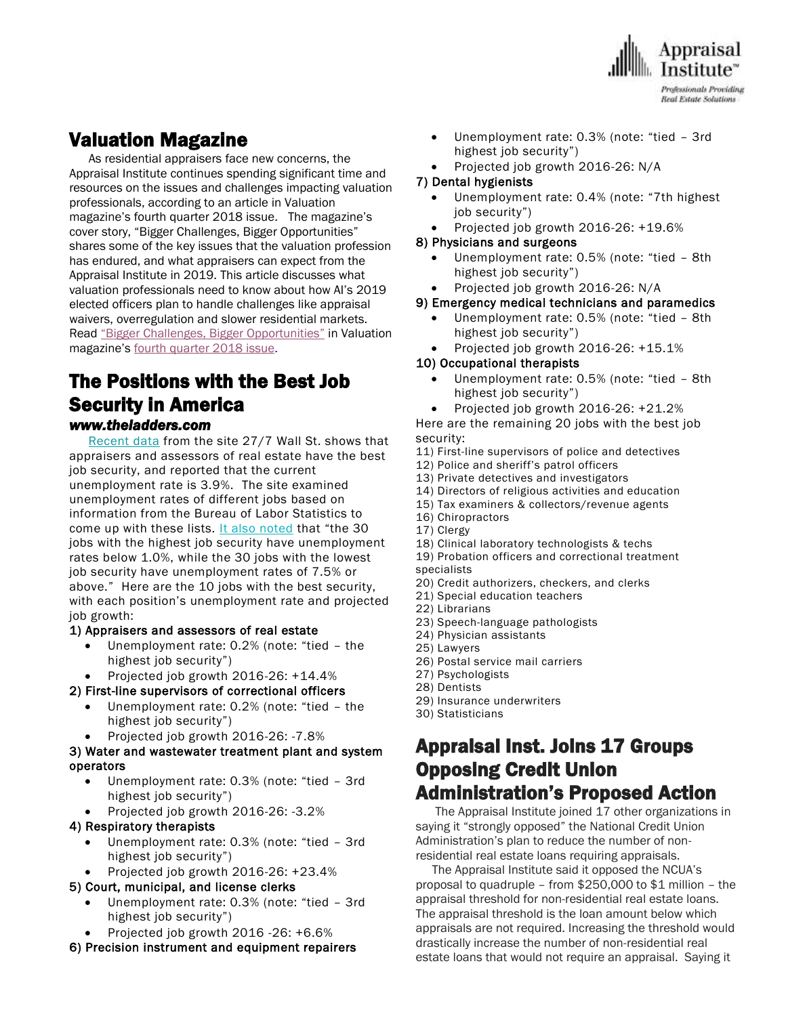

## Valuation Magazine

 As residential appraisers face new concerns, the Appraisal Institute continues spending significant time and resources on the issues and challenges impacting valuation professionals, according to an article in Valuation magazine's fourth quarter <sup>2018</sup> issue. The magazine's cover story, "Bigger Challenges, Bigger Opportunities" shares some of the key issues that the valuation profession has endured, and what appraisers can expect from the Appraisal Institute in 2019. This article discusses what valuation professionals need to know about how AI's 2019 elected officers plan to handle challenges like appraisal waivers, overregulation and slower residential markets. Read "Bigger Challenges, Bigger [Opportunities"](https://www.valuation-digital.com/valuation/q4_2018/MobilePagedReplica.action?pm=1&folio=12#pg14) in Valuation magazine's fourth [quarter](https://www.valuation-digital.com/valuation/q4_2018/MobilePagedReplica.action?pm=1&folio=Cover#pg1) 2018 issue.

## The Positions with the Best Job Security in America *www.theladders.com*

 [Recent data](https://247wallst.com/special-report/2018/08/27/jobs-with-the-best-and-worst-job-security-3/) from the site 27/7 Wall St. shows that appraisers and assessors of real estate have the best job security, and reported that the current unemployment rate is 3.9%. The site examined unemployment rates of different jobs based on information from the Bureau of Labor Statistics to come up with these lists. [It also noted](https://247wallst.com/special-report/2018/08/27/jobs-with-the-best-and-worst-job-security-3/) that "the 30 jobs with the highest job security have unemployment rates below 1.0%, while the 30 jobs with the lowest job security have unemployment rates of 7.5% or above." Here are the 10 jobs with the best security, with each position's unemployment rate and projected job growth:

#### 1) Appraisers and assessors of real estate

- Unemployment rate: 0.2% (note: "tied the highest job security")
- Projected job growth 2016-26: +14.4%

#### 2) First-line supervisors of correctional officers

- Unemployment rate: 0.2% (note: "tied the highest job security")
- Projected job growth 2016-26: -7.8%

#### 3) Water and wastewater treatment plant and system operators

- Unemployment rate: 0.3% (note: "tied 3rd highest job security")
- Projected job growth 2016-26: -3.2%

#### 4) Respiratory therapists

- Unemployment rate: 0.3% (note: "tied 3rd highest job security")
- Projected job growth 2016-26: +23.4%

#### 5) Court, municipal, and license clerks

- Unemployment rate: 0.3% (note: "tied 3rd highest job security")
- Projected job growth 2016 -26: +6.6%
- 6) Precision instrument and equipment repairers
- Unemployment rate: 0.3% (note: "tied 3rd highest job security")
	- Projected job growth 2016-26: N/A

#### 7) Dental hygienists

- Unemployment rate: 0.4% (note: "7th highest job security")
- Projected job growth 2016-26: +19.6%

#### 8) Physicians and surgeons

- Unemployment rate: 0.5% (note: "tied 8th highest job security")
- Projected job growth 2016-26: N/A

#### 9) Emergency medical technicians and paramedics

- Unemployment rate: 0.5% (note: "tied 8th highest job security")
- Projected job growth 2016-26: +15.1%

### 10) Occupational therapists

- Unemployment rate: 0.5% (note: "tied 8th highest job security")
	- Projected job growth 2016-26: +21.2%

Here are the remaining 20 jobs with the best job security:

- 11) First-line supervisors of police and detectives
- 12) Police and sheriff's patrol officers
- 13) Private detectives and investigators
- 14) Directors of religious activities and education
- 15) Tax examiners & collectors/revenue agents
- 16) Chiropractors
- 17) Clergy
- 18) Clinical laboratory technologists & techs
- 19) Probation officers and correctional treatment specialists
- 20) Credit authorizers, checkers, and clerks
- 21) Special education teachers
- 22) Librarians
- 23) Speech-language pathologists
- 24) Physician assistants
- 25) Lawyers
- 26) Postal service mail carriers
- 27) Psychologists
- 28) Dentists
- 29) Insurance underwriters
- 30) Statisticians

## Appraisal Inst. Joins 17 Groups Opposing Credit Union Administration's Proposed Action

 The Appraisal Institute joined 17 other organizations in saying it "strongly opposed" the National Credit Union Administration's plan to reduce the number of nonresidential real estate loans requiring appraisals.

 The Appraisal Institute said it opposed the NCUA's proposal to quadruple – from \$250,000 to \$1 million – the appraisal threshold for non-residential real estate loans. The appraisal threshold is the loan amount below which appraisals are not required. Increasing the threshold would drastically increase the number of non-residential real estate loans that would not require an appraisal. Saying it